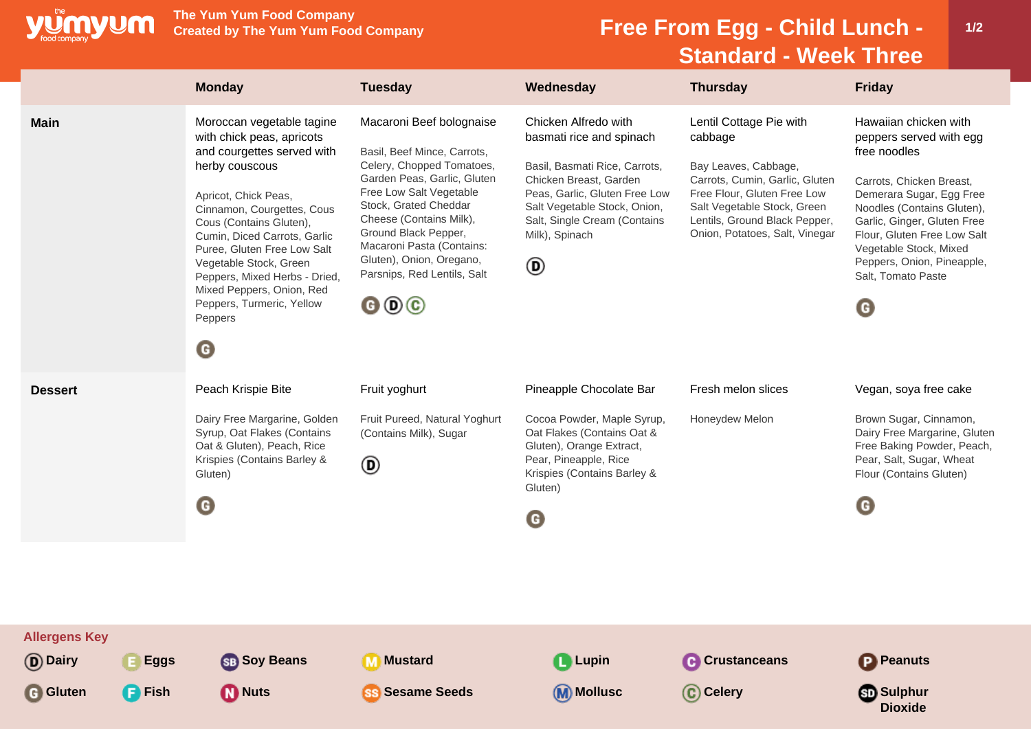

**The Yum Yum Food Company**

## **Free From Egg - Child Lunch -Standard - Week Three**

|                                                                                      | <b>Monday</b>                                                                                                                                                                                                                                                                                                                                                                                              | <b>Tuesday</b>                                                                                                                                                                                                                                                                                                                                                          | Wednesday                                                                                                                                                                                                                           | <b>Thursday</b>                                                                                                                                                                                                               | <b>Friday</b>                                                                                                                                                                                                                                                                                           |
|--------------------------------------------------------------------------------------|------------------------------------------------------------------------------------------------------------------------------------------------------------------------------------------------------------------------------------------------------------------------------------------------------------------------------------------------------------------------------------------------------------|-------------------------------------------------------------------------------------------------------------------------------------------------------------------------------------------------------------------------------------------------------------------------------------------------------------------------------------------------------------------------|-------------------------------------------------------------------------------------------------------------------------------------------------------------------------------------------------------------------------------------|-------------------------------------------------------------------------------------------------------------------------------------------------------------------------------------------------------------------------------|---------------------------------------------------------------------------------------------------------------------------------------------------------------------------------------------------------------------------------------------------------------------------------------------------------|
| <b>Main</b>                                                                          | Moroccan vegetable tagine<br>with chick peas, apricots<br>and courgettes served with<br>herby couscous<br>Apricot, Chick Peas,<br>Cinnamon, Courgettes, Cous<br>Cous (Contains Gluten),<br>Cumin, Diced Carrots, Garlic<br>Puree, Gluten Free Low Salt<br>Vegetable Stock, Green<br>Peppers, Mixed Herbs - Dried,<br>Mixed Peppers, Onion, Red<br>Peppers, Turmeric, Yellow<br>Peppers<br>$\mathbf \Theta$ | Macaroni Beef bolognaise<br>Basil, Beef Mince, Carrots,<br>Celery, Chopped Tomatoes,<br>Garden Peas, Garlic, Gluten<br>Free Low Salt Vegetable<br>Stock, Grated Cheddar<br>Cheese (Contains Milk),<br>Ground Black Pepper,<br>Macaroni Pasta (Contains:<br>Gluten), Onion, Oregano,<br>Parsnips, Red Lentils, Salt<br>$\mathbf{\Theta} \mathbf{\Theta} \mathbf{\Theta}$ | Chicken Alfredo with<br>basmati rice and spinach<br>Basil, Basmati Rice, Carrots,<br>Chicken Breast, Garden<br>Peas, Garlic, Gluten Free Low<br>Salt Vegetable Stock, Onion,<br>Salt, Single Cream (Contains<br>Milk), Spinach<br>◉ | Lentil Cottage Pie with<br>cabbage<br>Bay Leaves, Cabbage,<br>Carrots, Cumin, Garlic, Gluten<br>Free Flour, Gluten Free Low<br>Salt Vegetable Stock, Green<br>Lentils, Ground Black Pepper,<br>Onion, Potatoes, Salt, Vinegar | Hawaiian chicken with<br>peppers served with egg<br>free noodles<br>Carrots, Chicken Breast,<br>Demerara Sugar, Egg Free<br>Noodles (Contains Gluten),<br>Garlic, Ginger, Gluten Free<br>Flour, Gluten Free Low Salt<br>Vegetable Stock, Mixed<br>Peppers, Onion, Pineapple,<br>Salt, Tomato Paste<br>O |
| <b>Dessert</b>                                                                       | Peach Krispie Bite<br>Dairy Free Margarine, Golden<br>Syrup, Oat Flakes (Contains<br>Oat & Gluten), Peach, Rice<br>Krispies (Contains Barley &<br>Gluten)<br>O                                                                                                                                                                                                                                             | Fruit yoghurt<br>Fruit Pureed, Natural Yoghurt<br>(Contains Milk), Sugar<br>◉                                                                                                                                                                                                                                                                                           | Pineapple Chocolate Bar<br>Cocoa Powder, Maple Syrup,<br>Oat Flakes (Contains Oat &<br>Gluten), Orange Extract,<br>Pear, Pineapple, Rice<br>Krispies (Contains Barley &<br>Gluten)<br>O                                             | Fresh melon slices<br>Honeydew Melon                                                                                                                                                                                          | Vegan, soya free cake<br>Brown Sugar, Cinnamon,<br>Dairy Free Margarine, Gluten<br>Free Baking Powder, Peach,<br>Pear, Salt, Sugar, Wheat<br>Flour (Contains Gluten)<br>G                                                                                                                               |
| <b>Allergens Key</b><br>(D) Dairy<br><b>Eggs</b><br><b>G</b> Gluten<br><b>P</b> Fish | <b>SB</b> Soy Beans<br><b>D</b> Nuts                                                                                                                                                                                                                                                                                                                                                                       | <b>Mustard</b><br>$\bf{m}$<br><b>Sesame Seeds</b>                                                                                                                                                                                                                                                                                                                       | <b>Q</b> Lupin<br><b>M</b> Mollusc                                                                                                                                                                                                  | <b>C</b> Crustanceans<br>C Celery                                                                                                                                                                                             | <b>P</b> Peanuts<br><b>Sulphur</b><br><b>Dioxide</b>                                                                                                                                                                                                                                                    |